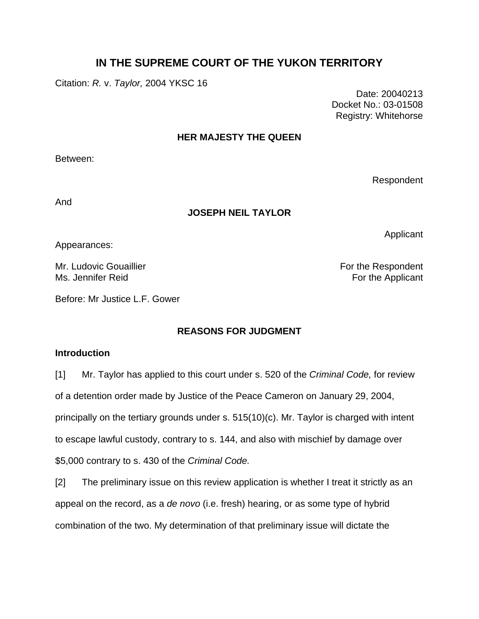# **IN THE SUPREME COURT OF THE YUKON TERRITORY**

Citation: *R.* v. *Taylor,* 2004 YKSC 16

 Date: 20040213 Docket No.: 03-01508 Registry: Whitehorse

## **HER MAJESTY THE QUEEN**

Between:

Respondent

Applicant

And

## **JOSEPH NEIL TAYLOR**

Appearances:

Mr. Ludovic Gouaillier **For the Respondent** Ms. Jennifer Reid **For the Applicant** 

Before: Mr Justice L.F. Gower

# **REASONS FOR JUDGMENT**

## **Introduction**

[1] Mr. Taylor has applied to this court under s. 520 of the *Criminal Code,* for review of a detention order made by Justice of the Peace Cameron on January 29, 2004, principally on the tertiary grounds under s. 515(10)(c). Mr. Taylor is charged with intent to escape lawful custody, contrary to s. 144, and also with mischief by damage over \$5,000 contrary to s. 430 of the *Criminal Code.*

[2] The preliminary issue on this review application is whether I treat it strictly as an appeal on the record, as a *de novo* (i.e. fresh) hearing, or as some type of hybrid combination of the two. My determination of that preliminary issue will dictate the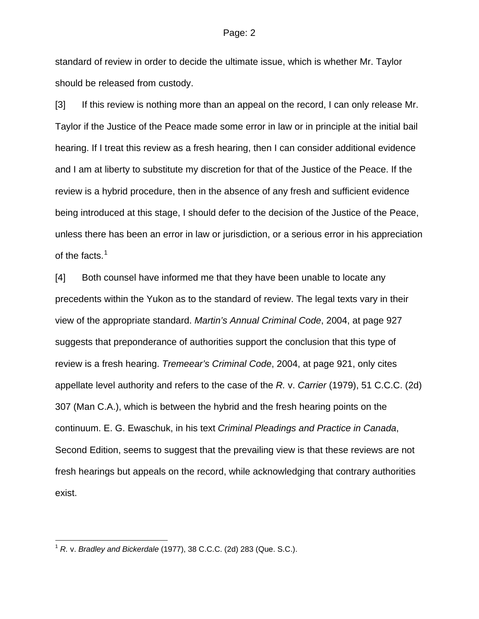standard of review in order to decide the ultimate issue, which is whether Mr. Taylor should be released from custody.

[3] If this review is nothing more than an appeal on the record, I can only release Mr. Taylor if the Justice of the Peace made some error in law or in principle at the initial bail hearing. If I treat this review as a fresh hearing, then I can consider additional evidence and I am at liberty to substitute my discretion for that of the Justice of the Peace. If the review is a hybrid procedure, then in the absence of any fresh and sufficient evidence being introduced at this stage, I should defer to the decision of the Justice of the Peace, unless there has been an error in law or jurisdiction, or a serious error in his appreciation of the facts.<sup>[1](#page-1-0)</sup>

[4] Both counsel have informed me that they have been unable to locate any precedents within the Yukon as to the standard of review. The legal texts vary in their view of the appropriate standard. *Martin's Annual Criminal Code*, 2004, at page 927 suggests that preponderance of authorities support the conclusion that this type of review is a fresh hearing. *Tremeear's Criminal Code*, 2004, at page 921, only cites appellate level authority and refers to the case of the *R.* v. *Carrier* (1979), 51 C.C.C. (2d) 307 (Man C.A.), which is between the hybrid and the fresh hearing points on the continuum. E. G. Ewaschuk, in his text *Criminal Pleadings and Practice in Canada*, Second Edition, seems to suggest that the prevailing view is that these reviews are not fresh hearings but appeals on the record, while acknowledging that contrary authorities exist.

l

<span id="page-1-0"></span><sup>1</sup> *R.* v. *Bradley and Bickerdale* (1977), 38 C.C.C. (2d) 283 (Que. S.C.).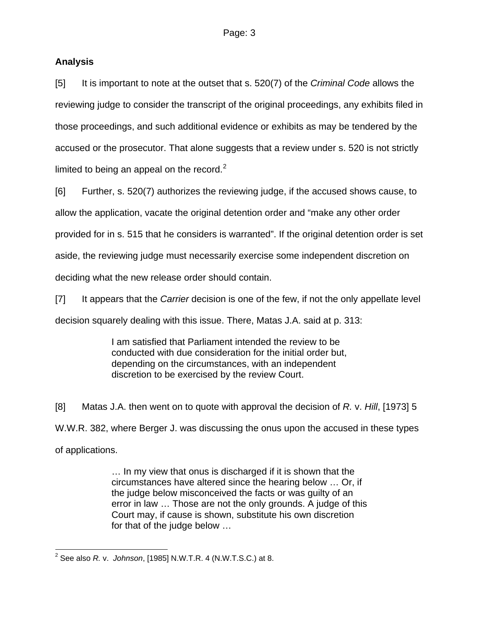# **Analysis**

[5] It is important to note at the outset that s. 520(7) of the *Criminal Code* allows the reviewing judge to consider the transcript of the original proceedings, any exhibits filed in those proceedings, and such additional evidence or exhibits as may be tendered by the accused or the prosecutor. That alone suggests that a review under s. 520 is not strictly limited to being an appeal on the record. $2$ 

[6] Further, s. 520(7) authorizes the reviewing judge, if the accused shows cause, to allow the application, vacate the original detention order and "make any other order provided for in s. 515 that he considers is warranted". If the original detention order is set aside, the reviewing judge must necessarily exercise some independent discretion on deciding what the new release order should contain.

[7] It appears that the *Carrier* decision is one of the few, if not the only appellate level decision squarely dealing with this issue. There, Matas J.A. said at p. 313:

> I am satisfied that Parliament intended the review to be conducted with due consideration for the initial order but, depending on the circumstances, with an independent discretion to be exercised by the review Court.

[8] Matas J.A. then went on to quote with approval the decision of *R.* v. *Hill*, [1973] 5 W.W.R. 382, where Berger J. was discussing the onus upon the accused in these types of applications.

> … In my view that onus is discharged if it is shown that the circumstances have altered since the hearing below … Or, if the judge below misconceived the facts or was guilty of an error in law … Those are not the only grounds. A judge of this Court may, if cause is shown, substitute his own discretion for that of the judge below …

<span id="page-2-0"></span> 2 See also *R.* v. *Johnson*, [1985] N.W.T.R. 4 (N.W.T.S.C.) at 8.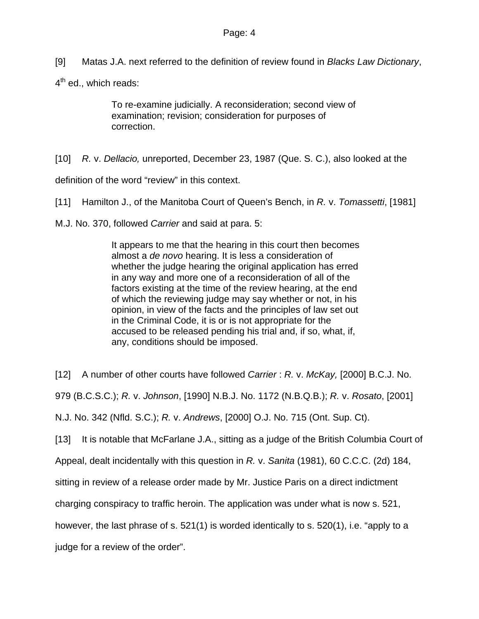[9] Matas J.A. next referred to the definition of review found in *Blacks Law Dictionary*,

 $4<sup>th</sup>$  ed., which reads:

To re-examine judicially. A reconsideration; second view of examination; revision; consideration for purposes of correction.

[10] *R.* v. *Dellacio,* unreported, December 23, 1987 (Que. S. C.), also looked at the

definition of the word "review" in this context.

[11] Hamilton J., of the Manitoba Court of Queen's Bench, in *R.* v. *Tomassetti*, [1981]

M.J. No. 370, followed *Carrier* and said at para. 5:

It appears to me that the hearing in this court then becomes almost a *de novo* hearing. It is less a consideration of whether the judge hearing the original application has erred in any way and more one of a reconsideration of all of the factors existing at the time of the review hearing, at the end of which the reviewing judge may say whether or not, in his opinion, in view of the facts and the principles of law set out in the Criminal Code, it is or is not appropriate for the accused to be released pending his trial and, if so, what, if, any, conditions should be imposed.

[12] A number of other courts have followed *Carrier* : *R.* v. *McKay,* [2000] B.C.J. No.

979 (B.C.S.C.); *R.* v. *Johnson*, [1990] N.B.J. No. 1172 (N.B.Q.B.); *R.* v. *Rosato*, [2001]

N.J. No. 342 (Nfld. S.C.); *R.* v. *Andrews*, [2000] O.J. No. 715 (Ont. Sup. Ct).

[13] It is notable that McFarlane J.A., sitting as a judge of the British Columbia Court of

Appeal, dealt incidentally with this question in *R.* v. *Sanita* (1981), 60 C.C.C. (2d) 184,

sitting in review of a release order made by Mr. Justice Paris on a direct indictment

charging conspiracy to traffic heroin. The application was under what is now s. 521,

however, the last phrase of s. 521(1) is worded identically to s. 520(1), i.e. "apply to a

judge for a review of the order".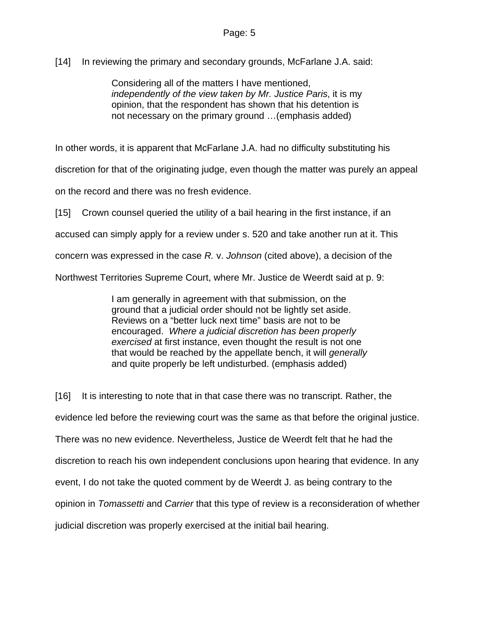[14] In reviewing the primary and secondary grounds, McFarlane J.A. said:

Considering all of the matters I have mentioned, *independently of the view taken by Mr. Justice Paris*, it is my opinion, that the respondent has shown that his detention is not necessary on the primary ground …(emphasis added)

In other words, it is apparent that McFarlane J.A. had no difficulty substituting his

discretion for that of the originating judge, even though the matter was purely an appeal

on the record and there was no fresh evidence.

[15] Crown counsel queried the utility of a bail hearing in the first instance, if an

accused can simply apply for a review under s. 520 and take another run at it. This

concern was expressed in the case *R.* v. *Johnson* (cited above), a decision of the

Northwest Territories Supreme Court, where Mr. Justice de Weerdt said at p. 9:

I am generally in agreement with that submission, on the ground that a judicial order should not be lightly set aside. Reviews on a "better luck next time" basis are not to be encouraged. *Where a judicial discretion has been properly exercised* at first instance, even thought the result is not one that would be reached by the appellate bench, it will *generally* and quite properly be left undisturbed. (emphasis added)

[16] It is interesting to note that in that case there was no transcript. Rather, the evidence led before the reviewing court was the same as that before the original justice. There was no new evidence. Nevertheless, Justice de Weerdt felt that he had the discretion to reach his own independent conclusions upon hearing that evidence. In any event, I do not take the quoted comment by de Weerdt J. as being contrary to the opinion in *Tomassetti* and *Carrier* that this type of review is a reconsideration of whether judicial discretion was properly exercised at the initial bail hearing.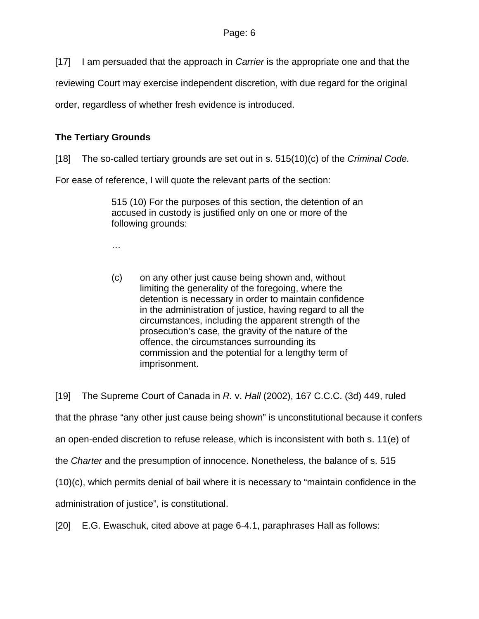[17] I am persuaded that the approach in *Carrier* is the appropriate one and that the

reviewing Court may exercise independent discretion, with due regard for the original

order, regardless of whether fresh evidence is introduced.

# **The Tertiary Grounds**

[18] The so-called tertiary grounds are set out in s. 515(10)(c) of the *Criminal Code.*

For ease of reference, I will quote the relevant parts of the section:

515 (10) For the purposes of this section, the detention of an accused in custody is justified only on one or more of the following grounds:

…

(c) on any other just cause being shown and, without limiting the generality of the foregoing, where the detention is necessary in order to maintain confidence in the administration of justice, having regard to all the circumstances, including the apparent strength of the prosecution's case, the gravity of the nature of the offence, the circumstances surrounding its commission and the potential for a lengthy term of imprisonment.

[19] The Supreme Court of Canada in *R.* v. *Hall* (2002), 167 C.C.C. (3d) 449, ruled that the phrase "any other just cause being shown" is unconstitutional because it confers an open-ended discretion to refuse release, which is inconsistent with both s. 11(e) of the *Charter* and the presumption of innocence. Nonetheless, the balance of s. 515 (10)(c), which permits denial of bail where it is necessary to "maintain confidence in the administration of justice", is constitutional.

[20] E.G. Ewaschuk, cited above at page 6-4.1, paraphrases Hall as follows: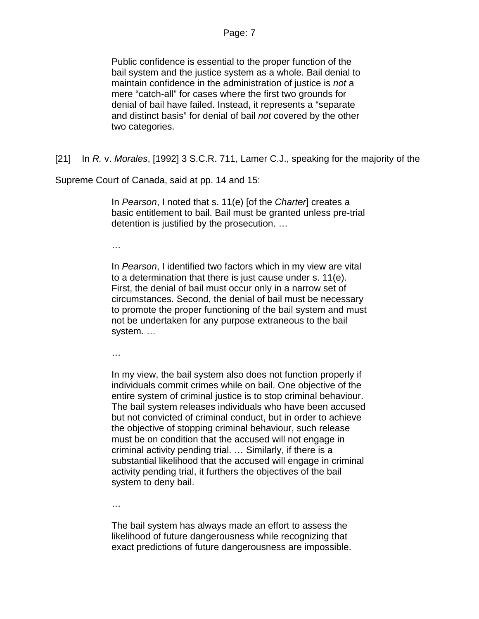Public confidence is essential to the proper function of the bail system and the justice system as a whole. Bail denial to maintain confidence in the administration of justice is *not* a mere "catch-all" for cases where the first two grounds for denial of bail have failed. Instead, it represents a "separate and distinct basis" for denial of bail *not* covered by the other two categories.

[21] In *R.* v. *Morales*, [1992] 3 S.C.R. 711, Lamer C.J., speaking for the majority of the

Supreme Court of Canada, said at pp. 14 and 15:

In *Pearson*, I noted that s. 11(e) [of the *Charter*] creates a basic entitlement to bail. Bail must be granted unless pre-trial detention is justified by the prosecution. …

…

In *Pearson*, I identified two factors which in my view are vital to a determination that there is just cause under s. 11(e). First, the denial of bail must occur only in a narrow set of circumstances. Second, the denial of bail must be necessary to promote the proper functioning of the bail system and must not be undertaken for any purpose extraneous to the bail system. …

…

In my view, the bail system also does not function properly if individuals commit crimes while on bail. One objective of the entire system of criminal justice is to stop criminal behaviour. The bail system releases individuals who have been accused but not convicted of criminal conduct, but in order to achieve the objective of stopping criminal behaviour, such release must be on condition that the accused will not engage in criminal activity pending trial. … Similarly, if there is a substantial likelihood that the accused will engage in criminal activity pending trial, it furthers the objectives of the bail system to deny bail.

…

The bail system has always made an effort to assess the likelihood of future dangerousness while recognizing that exact predictions of future dangerousness are impossible.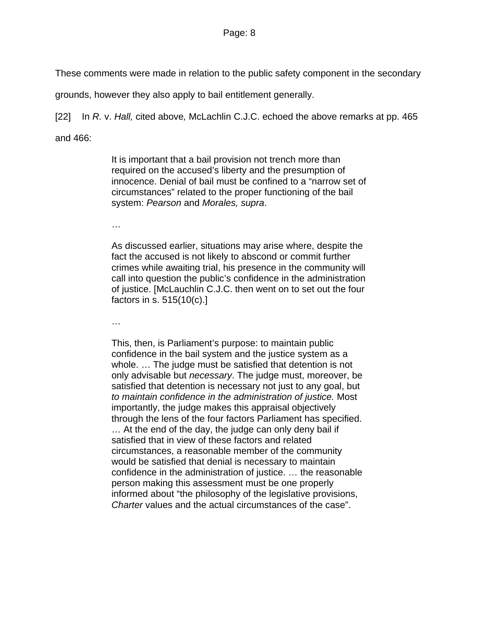These comments were made in relation to the public safety component in the secondary

grounds, however they also apply to bail entitlement generally.

[22] In *R.* v. *Hall,* cited above*,* McLachlin C.J.C. echoed the above remarks at pp. 465

and 466:

It is important that a bail provision not trench more than required on the accused's liberty and the presumption of innocence. Denial of bail must be confined to a "narrow set of circumstances" related to the proper functioning of the bail system: *Pearson* and *Morales, supra*.

…

As discussed earlier, situations may arise where, despite the fact the accused is not likely to abscond or commit further crimes while awaiting trial, his presence in the community will call into question the public's confidence in the administration of justice. [McLauchlin C.J.C. then went on to set out the four factors in s. 515(10(c).]

…

This, then, is Parliament's purpose: to maintain public confidence in the bail system and the justice system as a whole. … The judge must be satisfied that detention is not only advisable but *necessary*. The judge must, moreover, be satisfied that detention is necessary not just to any goal, but *to maintain confidence in the administration of justice.* Most importantly, the judge makes this appraisal objectively through the lens of the four factors Parliament has specified. … At the end of the day, the judge can only deny bail if satisfied that in view of these factors and related circumstances, a reasonable member of the community would be satisfied that denial is necessary to maintain confidence in the administration of justice. … the reasonable person making this assessment must be one properly informed about "the philosophy of the legislative provisions, *Charter* values and the actual circumstances of the case".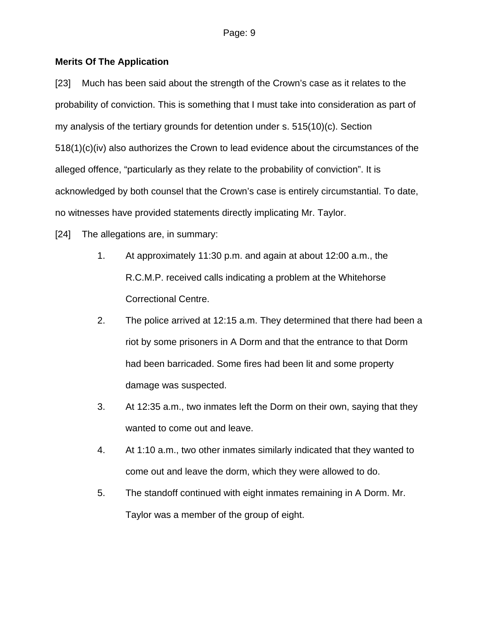## **Merits Of The Application**

[23] Much has been said about the strength of the Crown's case as it relates to the probability of conviction. This is something that I must take into consideration as part of my analysis of the tertiary grounds for detention under s. 515(10)(c). Section 518(1)(c)(iv) also authorizes the Crown to lead evidence about the circumstances of the alleged offence, "particularly as they relate to the probability of conviction". It is acknowledged by both counsel that the Crown's case is entirely circumstantial. To date, no witnesses have provided statements directly implicating Mr. Taylor.

[24] The allegations are, in summary:

- 1. At approximately 11:30 p.m. and again at about 12:00 a.m., the R.C.M.P. received calls indicating a problem at the Whitehorse Correctional Centre.
- 2. The police arrived at 12:15 a.m. They determined that there had been a riot by some prisoners in A Dorm and that the entrance to that Dorm had been barricaded. Some fires had been lit and some property damage was suspected.
- 3. At 12:35 a.m., two inmates left the Dorm on their own, saying that they wanted to come out and leave.
- 4. At 1:10 a.m., two other inmates similarly indicated that they wanted to come out and leave the dorm, which they were allowed to do.
- 5. The standoff continued with eight inmates remaining in A Dorm. Mr. Taylor was a member of the group of eight.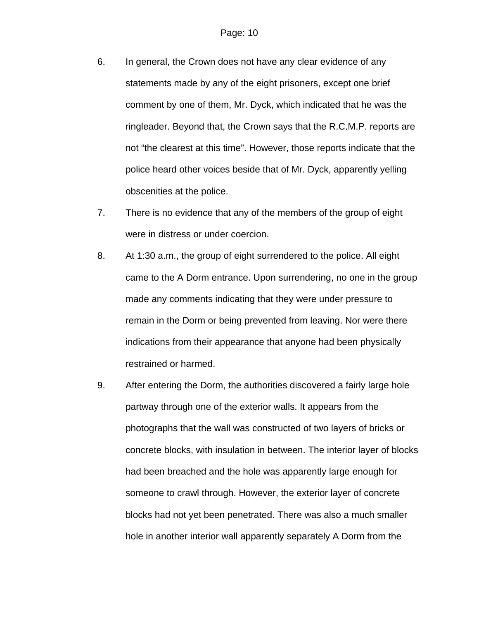- 6. In general, the Crown does not have any clear evidence of any statements made by any of the eight prisoners, except one brief comment by one of them, Mr. Dyck, which indicated that he was the ringleader. Beyond that, the Crown says that the R.C.M.P. reports are not "the clearest at this time". However, those reports indicate that the police heard other voices beside that of Mr. Dyck, apparently yelling obscenities at the police.
- 7. There is no evidence that any of the members of the group of eight were in distress or under coercion.
- 8. At 1:30 a.m., the group of eight surrendered to the police. All eight came to the A Dorm entrance. Upon surrendering, no one in the group made any comments indicating that they were under pressure to remain in the Dorm or being prevented from leaving. Nor were there indications from their appearance that anyone had been physically restrained or harmed.
- 9. After entering the Dorm, the authorities discovered a fairly large hole partway through one of the exterior walls. It appears from the photographs that the wall was constructed of two layers of bricks or concrete blocks, with insulation in between. The interior layer of blocks had been breached and the hole was apparently large enough for someone to crawl through. However, the exterior layer of concrete blocks had not yet been penetrated. There was also a much smaller hole in another interior wall apparently separately A Dorm from the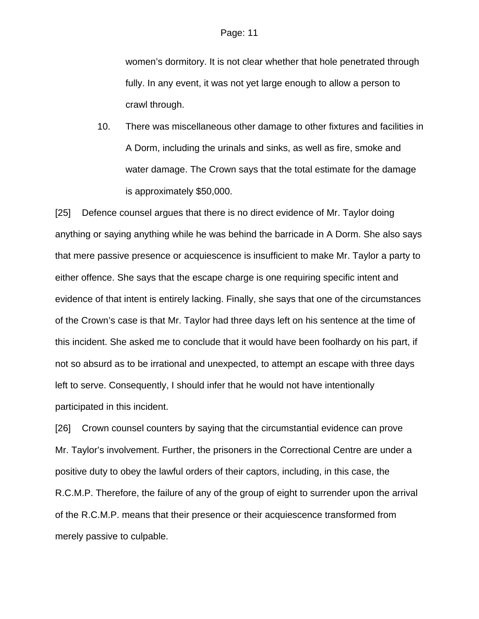women's dormitory. It is not clear whether that hole penetrated through fully. In any event, it was not yet large enough to allow a person to crawl through.

10. There was miscellaneous other damage to other fixtures and facilities in A Dorm, including the urinals and sinks, as well as fire, smoke and water damage. The Crown says that the total estimate for the damage is approximately \$50,000.

[25] Defence counsel argues that there is no direct evidence of Mr. Taylor doing anything or saying anything while he was behind the barricade in A Dorm. She also says that mere passive presence or acquiescence is insufficient to make Mr. Taylor a party to either offence. She says that the escape charge is one requiring specific intent and evidence of that intent is entirely lacking. Finally, she says that one of the circumstances of the Crown's case is that Mr. Taylor had three days left on his sentence at the time of this incident. She asked me to conclude that it would have been foolhardy on his part, if not so absurd as to be irrational and unexpected, to attempt an escape with three days left to serve. Consequently, I should infer that he would not have intentionally participated in this incident.

[26] Crown counsel counters by saying that the circumstantial evidence can prove Mr. Taylor's involvement. Further, the prisoners in the Correctional Centre are under a positive duty to obey the lawful orders of their captors, including, in this case, the R.C.M.P. Therefore, the failure of any of the group of eight to surrender upon the arrival of the R.C.M.P. means that their presence or their acquiescence transformed from merely passive to culpable.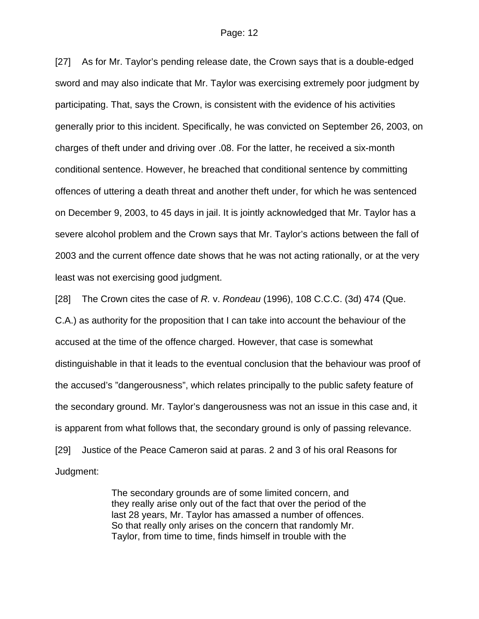[27] As for Mr. Taylor's pending release date, the Crown says that is a double-edged sword and may also indicate that Mr. Taylor was exercising extremely poor judgment by participating. That, says the Crown, is consistent with the evidence of his activities generally prior to this incident. Specifically, he was convicted on September 26, 2003, on charges of theft under and driving over .08. For the latter, he received a six-month conditional sentence. However, he breached that conditional sentence by committing offences of uttering a death threat and another theft under, for which he was sentenced on December 9, 2003, to 45 days in jail. It is jointly acknowledged that Mr. Taylor has a severe alcohol problem and the Crown says that Mr. Taylor's actions between the fall of 2003 and the current offence date shows that he was not acting rationally, or at the very least was not exercising good judgment.

[28] The Crown cites the case of *R.* v. *Rondeau* (1996), 108 C.C.C. (3d) 474 (Que. C.A.) as authority for the proposition that I can take into account the behaviour of the accused at the time of the offence charged. However, that case is somewhat distinguishable in that it leads to the eventual conclusion that the behaviour was proof of the accused's "dangerousness", which relates principally to the public safety feature of the secondary ground. Mr. Taylor's dangerousness was not an issue in this case and, it is apparent from what follows that, the secondary ground is only of passing relevance. [29] Justice of the Peace Cameron said at paras. 2 and 3 of his oral Reasons for Judgment:

> The secondary grounds are of some limited concern, and they really arise only out of the fact that over the period of the last 28 years, Mr. Taylor has amassed a number of offences. So that really only arises on the concern that randomly Mr. Taylor, from time to time, finds himself in trouble with the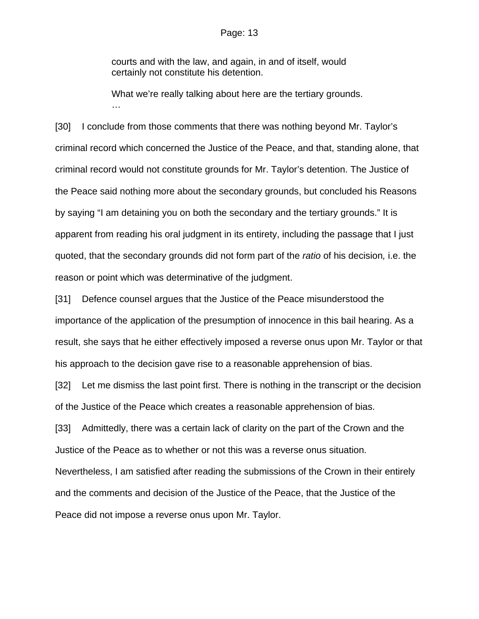courts and with the law, and again, in and of itself, would certainly not constitute his detention.

What we're really talking about here are the tertiary grounds. …

[30] I conclude from those comments that there was nothing beyond Mr. Taylor's criminal record which concerned the Justice of the Peace, and that, standing alone, that criminal record would not constitute grounds for Mr. Taylor's detention. The Justice of the Peace said nothing more about the secondary grounds, but concluded his Reasons by saying "I am detaining you on both the secondary and the tertiary grounds." It is apparent from reading his oral judgment in its entirety, including the passage that I just quoted, that the secondary grounds did not form part of the *ratio* of his decision*,* i.e. the reason or point which was determinative of the judgment.

[31] Defence counsel argues that the Justice of the Peace misunderstood the importance of the application of the presumption of innocence in this bail hearing. As a result, she says that he either effectively imposed a reverse onus upon Mr. Taylor or that his approach to the decision gave rise to a reasonable apprehension of bias.

[32] Let me dismiss the last point first. There is nothing in the transcript or the decision of the Justice of the Peace which creates a reasonable apprehension of bias.

[33] Admittedly, there was a certain lack of clarity on the part of the Crown and the Justice of the Peace as to whether or not this was a reverse onus situation. Nevertheless, I am satisfied after reading the submissions of the Crown in their entirely and the comments and decision of the Justice of the Peace, that the Justice of the Peace did not impose a reverse onus upon Mr. Taylor.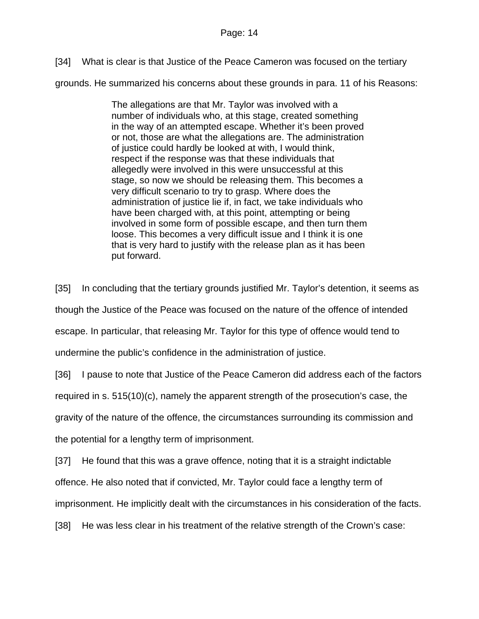[34] What is clear is that Justice of the Peace Cameron was focused on the tertiary

grounds. He summarized his concerns about these grounds in para. 11 of his Reasons:

The allegations are that Mr. Taylor was involved with a number of individuals who, at this stage, created something in the way of an attempted escape. Whether it's been proved or not, those are what the allegations are. The administration of justice could hardly be looked at with, I would think, respect if the response was that these individuals that allegedly were involved in this were unsuccessful at this stage, so now we should be releasing them. This becomes a very difficult scenario to try to grasp. Where does the administration of justice lie if, in fact, we take individuals who have been charged with, at this point, attempting or being involved in some form of possible escape, and then turn them loose. This becomes a very difficult issue and I think it is one that is very hard to justify with the release plan as it has been put forward.

[35] In concluding that the tertiary grounds justified Mr. Taylor's detention, it seems as though the Justice of the Peace was focused on the nature of the offence of intended escape. In particular, that releasing Mr. Taylor for this type of offence would tend to undermine the public's confidence in the administration of justice.

[36] I pause to note that Justice of the Peace Cameron did address each of the factors

required in s. 515(10)(c), namely the apparent strength of the prosecution's case, the

gravity of the nature of the offence, the circumstances surrounding its commission and

the potential for a lengthy term of imprisonment.

[37] He found that this was a grave offence, noting that it is a straight indictable

offence. He also noted that if convicted, Mr. Taylor could face a lengthy term of

imprisonment. He implicitly dealt with the circumstances in his consideration of the facts.

[38] He was less clear in his treatment of the relative strength of the Crown's case: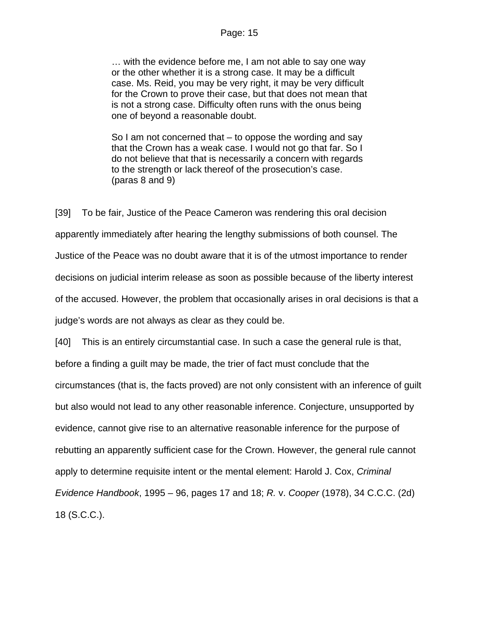… with the evidence before me, I am not able to say one way or the other whether it is a strong case. It may be a difficult case. Ms. Reid, you may be very right, it may be very difficult for the Crown to prove their case, but that does not mean that is not a strong case. Difficulty often runs with the onus being one of beyond a reasonable doubt.

So I am not concerned that – to oppose the wording and say that the Crown has a weak case. I would not go that far. So I do not believe that that is necessarily a concern with regards to the strength or lack thereof of the prosecution's case. (paras 8 and 9)

[39] To be fair, Justice of the Peace Cameron was rendering this oral decision apparently immediately after hearing the lengthy submissions of both counsel. The Justice of the Peace was no doubt aware that it is of the utmost importance to render decisions on judicial interim release as soon as possible because of the liberty interest of the accused. However, the problem that occasionally arises in oral decisions is that a judge's words are not always as clear as they could be.

[40] This is an entirely circumstantial case. In such a case the general rule is that, before a finding a guilt may be made, the trier of fact must conclude that the circumstances (that is, the facts proved) are not only consistent with an inference of guilt but also would not lead to any other reasonable inference. Conjecture, unsupported by evidence, cannot give rise to an alternative reasonable inference for the purpose of rebutting an apparently sufficient case for the Crown. However, the general rule cannot apply to determine requisite intent or the mental element: Harold J. Cox, *Criminal Evidence Handbook*, 1995 – 96, pages 17 and 18; *R.* v. *Cooper* (1978), 34 C.C.C. (2d) 18 (S.C.C.).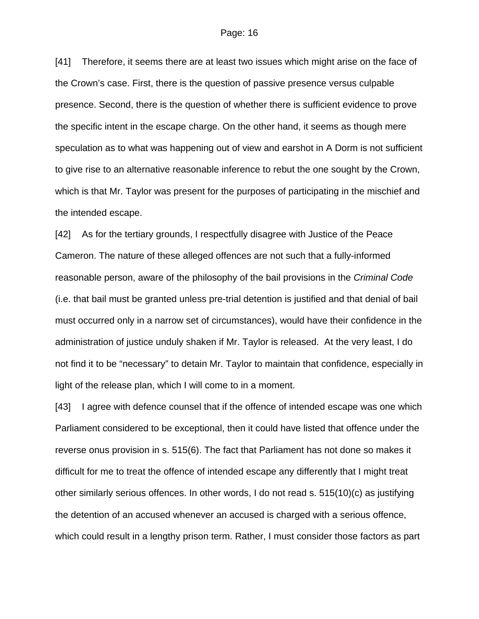[41] Therefore, it seems there are at least two issues which might arise on the face of the Crown's case. First, there is the question of passive presence versus culpable presence. Second, there is the question of whether there is sufficient evidence to prove the specific intent in the escape charge. On the other hand, it seems as though mere speculation as to what was happening out of view and earshot in A Dorm is not sufficient to give rise to an alternative reasonable inference to rebut the one sought by the Crown, which is that Mr. Taylor was present for the purposes of participating in the mischief and the intended escape.

[42] As for the tertiary grounds, I respectfully disagree with Justice of the Peace Cameron. The nature of these alleged offences are not such that a fully-informed reasonable person, aware of the philosophy of the bail provisions in the *Criminal Code* (i.e. that bail must be granted unless pre-trial detention is justified and that denial of bail must occurred only in a narrow set of circumstances), would have their confidence in the administration of justice unduly shaken if Mr. Taylor is released. At the very least, I do not find it to be "necessary" to detain Mr. Taylor to maintain that confidence, especially in light of the release plan, which I will come to in a moment.

[43] I agree with defence counsel that if the offence of intended escape was one which Parliament considered to be exceptional, then it could have listed that offence under the reverse onus provision in s. 515(6). The fact that Parliament has not done so makes it difficult for me to treat the offence of intended escape any differently that I might treat other similarly serious offences. In other words, I do not read s. 515(10)(c) as justifying the detention of an accused whenever an accused is charged with a serious offence, which could result in a lengthy prison term. Rather, I must consider those factors as part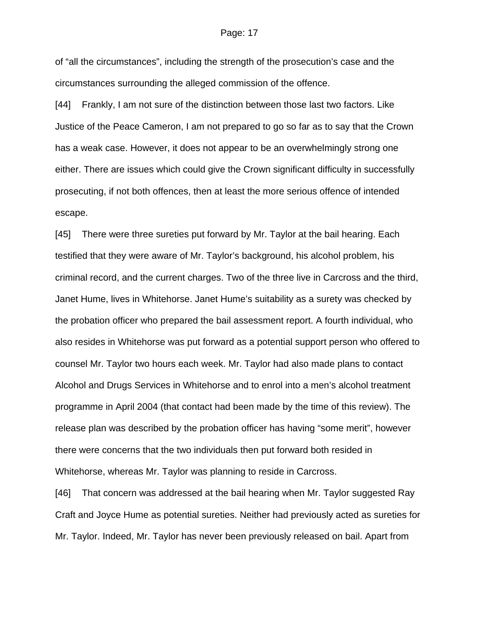of "all the circumstances", including the strength of the prosecution's case and the circumstances surrounding the alleged commission of the offence.

[44] Frankly, I am not sure of the distinction between those last two factors. Like Justice of the Peace Cameron, I am not prepared to go so far as to say that the Crown has a weak case. However, it does not appear to be an overwhelmingly strong one either. There are issues which could give the Crown significant difficulty in successfully prosecuting, if not both offences, then at least the more serious offence of intended escape.

[45] There were three sureties put forward by Mr. Taylor at the bail hearing. Each testified that they were aware of Mr. Taylor's background, his alcohol problem, his criminal record, and the current charges. Two of the three live in Carcross and the third, Janet Hume, lives in Whitehorse. Janet Hume's suitability as a surety was checked by the probation officer who prepared the bail assessment report. A fourth individual, who also resides in Whitehorse was put forward as a potential support person who offered to counsel Mr. Taylor two hours each week. Mr. Taylor had also made plans to contact Alcohol and Drugs Services in Whitehorse and to enrol into a men's alcohol treatment programme in April 2004 (that contact had been made by the time of this review). The release plan was described by the probation officer has having "some merit", however there were concerns that the two individuals then put forward both resided in Whitehorse, whereas Mr. Taylor was planning to reside in Carcross.

[46] That concern was addressed at the bail hearing when Mr. Taylor suggested Ray Craft and Joyce Hume as potential sureties. Neither had previously acted as sureties for Mr. Taylor. Indeed, Mr. Taylor has never been previously released on bail. Apart from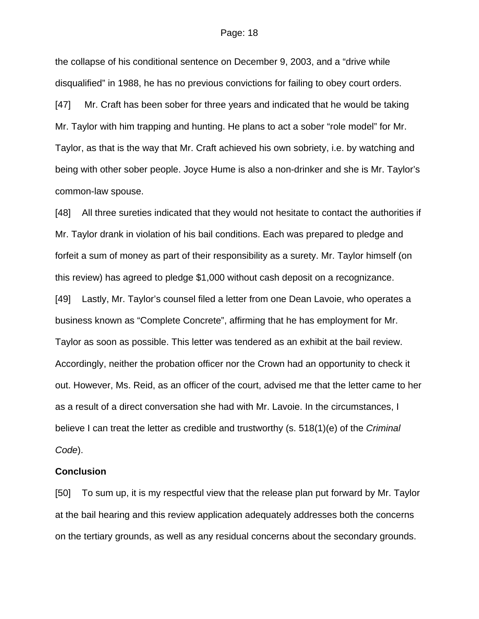the collapse of his conditional sentence on December 9, 2003, and a "drive while disqualified" in 1988, he has no previous convictions for failing to obey court orders. [47] Mr. Craft has been sober for three years and indicated that he would be taking Mr. Taylor with him trapping and hunting. He plans to act a sober "role model" for Mr. Taylor, as that is the way that Mr. Craft achieved his own sobriety, i.e. by watching and being with other sober people. Joyce Hume is also a non-drinker and she is Mr. Taylor's common-law spouse.

[48] All three sureties indicated that they would not hesitate to contact the authorities if Mr. Taylor drank in violation of his bail conditions. Each was prepared to pledge and forfeit a sum of money as part of their responsibility as a surety. Mr. Taylor himself (on this review) has agreed to pledge \$1,000 without cash deposit on a recognizance.

[49] Lastly, Mr. Taylor's counsel filed a letter from one Dean Lavoie, who operates a business known as "Complete Concrete", affirming that he has employment for Mr. Taylor as soon as possible. This letter was tendered as an exhibit at the bail review. Accordingly, neither the probation officer nor the Crown had an opportunity to check it out. However, Ms. Reid, as an officer of the court, advised me that the letter came to her as a result of a direct conversation she had with Mr. Lavoie. In the circumstances, I believe I can treat the letter as credible and trustworthy (s. 518(1)(e) of the *Criminal Code*).

### **Conclusion**

[50] To sum up, it is my respectful view that the release plan put forward by Mr. Taylor at the bail hearing and this review application adequately addresses both the concerns on the tertiary grounds, as well as any residual concerns about the secondary grounds.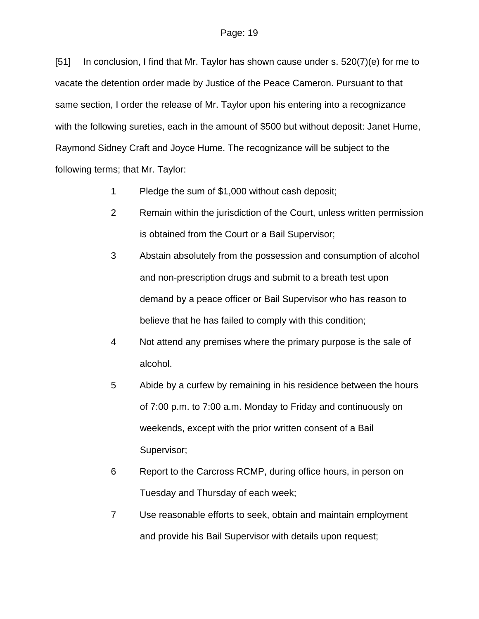[51] In conclusion, I find that Mr. Taylor has shown cause under s. 520(7)(e) for me to vacate the detention order made by Justice of the Peace Cameron. Pursuant to that same section, I order the release of Mr. Taylor upon his entering into a recognizance with the following sureties, each in the amount of \$500 but without deposit: Janet Hume, Raymond Sidney Craft and Joyce Hume. The recognizance will be subject to the following terms; that Mr. Taylor:

- 1 Pledge the sum of \$1,000 without cash deposit;
- 2 Remain within the jurisdiction of the Court, unless written permission is obtained from the Court or a Bail Supervisor;
- 3 Abstain absolutely from the possession and consumption of alcohol and non-prescription drugs and submit to a breath test upon demand by a peace officer or Bail Supervisor who has reason to believe that he has failed to comply with this condition;
- 4 Not attend any premises where the primary purpose is the sale of alcohol.
- 5 Abide by a curfew by remaining in his residence between the hours of 7:00 p.m. to 7:00 a.m. Monday to Friday and continuously on weekends, except with the prior written consent of a Bail Supervisor;
- 6 Report to the Carcross RCMP, during office hours, in person on Tuesday and Thursday of each week;
- 7 Use reasonable efforts to seek, obtain and maintain employment and provide his Bail Supervisor with details upon request;